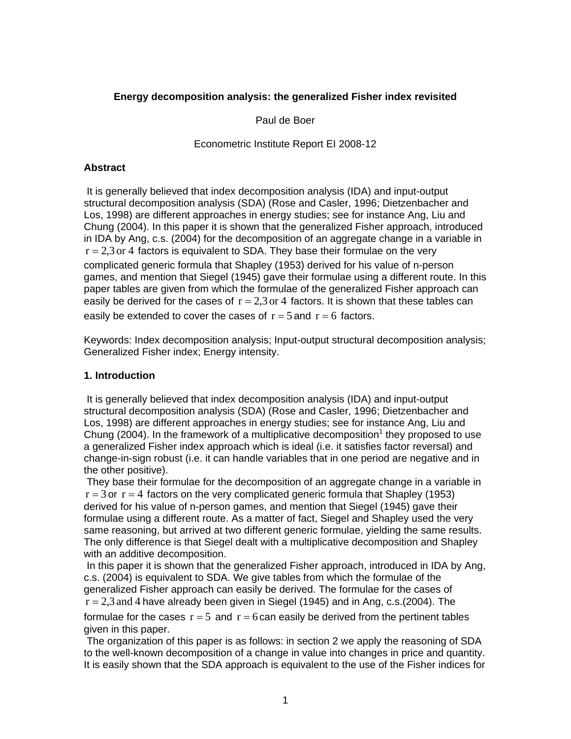## **Energy decomposition analysis: the generalized Fisher index revisited**

Paul de Boer

### Econometric Institute Report EI 2008-12

### **Abstract**

 It is generally believed that index decomposition analysis (IDA) and input-output structural decomposition analysis (SDA) (Rose and Casler, 1996; Dietzenbacher and Los, 1998) are different approaches in energy studies; see for instance Ang, Liu and Chung (2004). In this paper it is shown that the generalized Fisher approach, introduced in IDA by Ang, c.s. (2004) for the decomposition of an aggregate change in a variable in  $r = 2.3$  or 4 factors is equivalent to SDA. They base their formulae on the very complicated generic formula that Shapley (1953) derived for his value of n-person games, and mention that Siegel (1945) gave their formulae using a different route. In this paper tables are given from which the formulae of the generalized Fisher approach can easily be derived for the cases of  $r = 2.3$  or 4 factors. It is shown that these tables can easily be extended to cover the cases of  $r = 5$  and  $r = 6$  factors.

Keywords: Index decomposition analysis; Input-output structural decomposition analysis; Generalized Fisher index; Energy intensity.

## **1. Introduction**

 It is generally believed that index decomposition analysis (IDA) and input-output structural decomposition analysis (SDA) (Rose and Casler, 1996; Dietzenbacher and Los, 1998) are different approaches in energy studies; see for instance Ang, Liu and Chung (2004). In the framework of a multiplicative decomposition<sup>1</sup> they proposed to use a generalized Fisher index approach which is ideal (i.e. it satisfies factor reversal) and change-in-sign robust (i.e. it can handle variables that in one period are negative and in the other positive).

 They base their formulae for the decomposition of an aggregate change in a variable in  $r = 3$  or  $r = 4$  factors on the very complicated generic formula that Shapley (1953) derived for his value of n-person games, and mention that Siegel (1945) gave their formulae using a different route. As a matter of fact, Siegel and Shapley used the very same reasoning, but arrived at two different generic formulae, yielding the same results. The only difference is that Siegel dealt with a multiplicative decomposition and Shapley with an additive decomposition.

 In this paper it is shown that the generalized Fisher approach, introduced in IDA by Ang, c.s. (2004) is equivalent to SDA. We give tables from which the formulae of the generalized Fisher approach can easily be derived. The formulae for the cases of  $r = 2.3$  and 4 have already been given in Siegel (1945) and in Ang, c.s. (2004). The formulae for the cases  $r = 5$  and  $r = 6$  can easily be derived from the pertinent tables given in this paper.

 The organization of this paper is as follows: in section 2 we apply the reasoning of SDA to the well-known decomposition of a change in value into changes in price and quantity. It is easily shown that the SDA approach is equivalent to the use of the Fisher indices for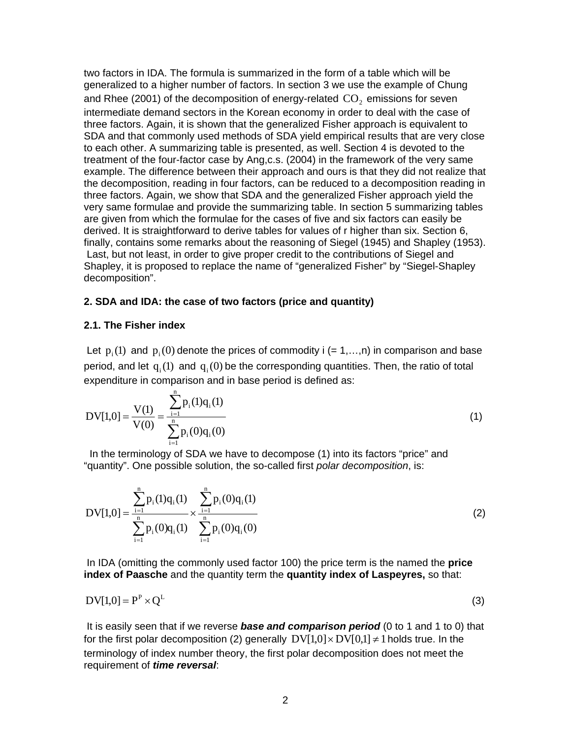two factors in IDA. The formula is summarized in the form of a table which will be generalized to a higher number of factors. In section 3 we use the example of Chung and Rhee (2001) of the decomposition of energy-related  $CO<sub>2</sub>$  emissions for seven intermediate demand sectors in the Korean economy in order to deal with the case of three factors. Again, it is shown that the generalized Fisher approach is equivalent to SDA and that commonly used methods of SDA yield empirical results that are very close to each other. A summarizing table is presented, as well. Section 4 is devoted to the treatment of the four-factor case by Ang,c.s. (2004) in the framework of the very same example. The difference between their approach and ours is that they did not realize that the decomposition, reading in four factors, can be reduced to a decomposition reading in three factors. Again, we show that SDA and the generalized Fisher approach yield the very same formulae and provide the summarizing table. In section 5 summarizing tables are given from which the formulae for the cases of five and six factors can easily be derived. It is straightforward to derive tables for values of r higher than six. Section 6, finally, contains some remarks about the reasoning of Siegel (1945) and Shapley (1953). Last, but not least, in order to give proper credit to the contributions of Siegel and Shapley, it is proposed to replace the name of "generalized Fisher" by "Siegel-Shapley decomposition".

#### **2. SDA and IDA: the case of two factors (price and quantity)**

#### **2.1. The Fisher index**

Let  $p_i(1)$  and  $p_i(0)$  denote the prices of commodity i (= 1,…,n) in comparison and base period, and let  $q_1(1)$  and  $q_2(0)$  be the corresponding quantities. Then, the ratio of total expenditure in comparison and in base period is defined as:

$$
DV[1,0] = \frac{V(1)}{V(0)} = \frac{\sum_{i=1}^{n} p_i(1)q_i(1)}{\sum_{i=1}^{n} p_i(0)q_i(0)}
$$
(1)

 In the terminology of SDA we have to decompose (1) into its factors "price" and "quantity". One possible solution, the so-called first *polar decomposition*, is:

$$
DV[1,0] = \frac{\sum_{i=1}^{n} p_i(1)q_i(1)}{\sum_{i=1}^{n} p_i(0)q_i(1)} \times \frac{\sum_{i=1}^{n} p_i(0)q_i(1)}{\sum_{i=1}^{n} p_i(0)q_i(0)}
$$
(2)

 In IDA (omitting the commonly used factor 100) the price term is the named the **price index of Paasche** and the quantity term the **quantity index of Laspeyres,** so that:

$$
DV[1,0] = P^P \times Q^L \tag{3}
$$

 It is easily seen that if we reverse *base and comparison period* (0 to 1 and 1 to 0) that for the first polar decomposition (2) generally  $DV[1,0] \times DV[0,1] \neq 1$  holds true. In the terminology of index number theory, the first polar decomposition does not meet the requirement of *time reversal*: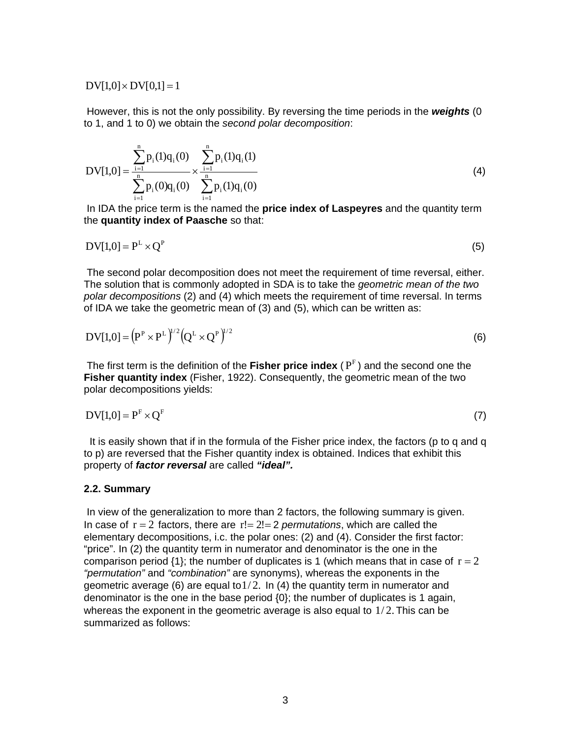$DV[1,0] \times DV[0,1] = 1$ 

 However, this is not the only possibility. By reversing the time periods in the *weights* (0 to 1, and 1 to 0) we obtain the *second polar decomposition*:

$$
DV[1,0] = \frac{\sum_{i=1}^{n} p_i(1)q_i(0)}{\sum_{i=1}^{n} p_i(0)q_i(0)} \times \frac{\sum_{i=1}^{n} p_i(1)q_i(1)}{\sum_{i=1}^{n} p_i(1)q_i(0)}
$$
(4)

 In IDA the price term is the named the **price index of Laspeyres** and the quantity term the **quantity index of Paasche** so that:

$$
DV[1,0] = P^L \times Q^P \tag{5}
$$

 The second polar decomposition does not meet the requirement of time reversal, either. The solution that is commonly adopted in SDA is to take the *geometric mean of the two polar decompositions* (2) and (4) which meets the requirement of time reversal. In terms of IDA we take the geometric mean of (3) and (5), which can be written as:

$$
DV[1,0] = (PP \times PL)1/2 (QL \times QP)1/2
$$
 (6)

The first term is the definition of the Fisher price index ( $P<sup>F</sup>$ ) and the second one the **Fisher quantity index** (Fisher, 1922). Consequently, the geometric mean of the two polar decompositions yields:

$$
DV[1,0] = PF \times QF
$$
 (7)

 It is easily shown that if in the formula of the Fisher price index, the factors (p to q and q to p) are reversed that the Fisher quantity index is obtained. Indices that exhibit this property of *factor reversal* are called *"ideal".* 

#### **2.2. Summary**

 In view of the generalization to more than 2 factors, the following summary is given. In case of  $r = 2$  factors, there are  $r! = 2! = 2$  *permutations*, which are called the elementary decompositions, i.c. the polar ones: (2) and (4). Consider the first factor: "price". In (2) the quantity term in numerator and denominator is the one in the comparison period  $\{1\}$ ; the number of duplicates is 1 (which means that in case of  $r = 2$ ) *"permutation"* and *"combination"* are synonyms), whereas the exponents in the geometric average (6) are equal to  $1/2$ . In (4) the quantity term in numerator and denominator is the one in the base period {0}; the number of duplicates is 1 again, whereas the exponent in the geometric average is also equal to  $1/2$ . This can be summarized as follows: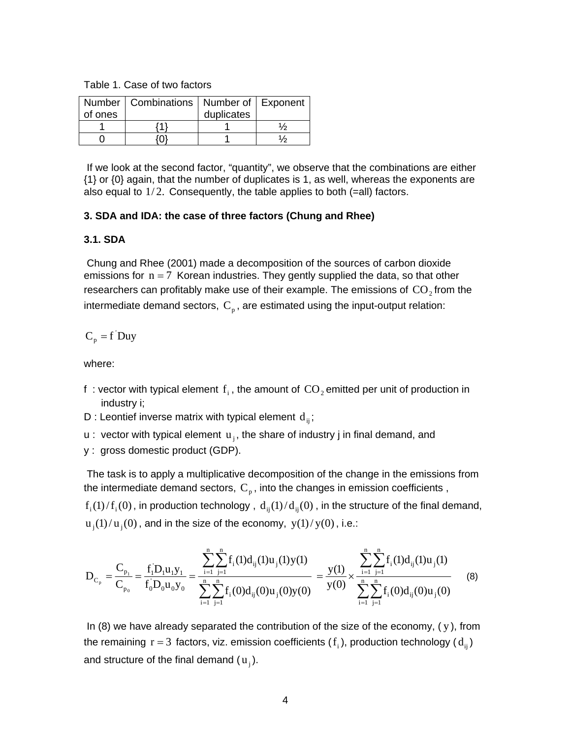Table 1. Case of two factors

|         | Number   Combinations   Number of   Exponent |            |  |
|---------|----------------------------------------------|------------|--|
| of ones |                                              | duplicates |  |
|         |                                              |            |  |
|         |                                              |            |  |

 If we look at the second factor, "quantity", we observe that the combinations are either {1} or {0} again, that the number of duplicates is 1, as well, whereas the exponents are also equal to  $1/2$ . Consequently, the table applies to both (=all) factors.

### **3. SDA and IDA: the case of three factors (Chung and Rhee)**

### **3.1. SDA**

 Chung and Rhee (2001) made a decomposition of the sources of carbon dioxide emissions for  $n = 7$  Korean industries. They gently supplied the data, so that other researchers can profitably make use of their example. The emissions of  $CO<sub>2</sub>$  from the intermediate demand sectors,  $C_p$ , are estimated using the input-output relation:

# $C_p = f'$ Duy

where:

- f : vector with typical element  $f_i$ , the amount of  $CO_2$  emitted per unit of production in industry i;
- D : Leontief inverse matrix with typical element  $d_{ii}$ ;
- u : vector with typical element  $u_i$ , the share of industry j in final demand, and
- y : gross domestic product (GDP).

 The task is to apply a multiplicative decomposition of the change in the emissions from the intermediate demand sectors,  $C_{p}$ , into the changes in emission coefficients,

 $f_i(1)/f_i(0)$ , in production technology,  $d_{ii}(1)/d_{ii}(0)$ , in the structure of the final demand,  $u_i(1)/u_i(0)$ , and in the size of the economy,  $y(1)/y(0)$ , i.e.:

$$
D_{C_p} = \frac{C_{p_1}}{C_{p_0}} = \frac{f'_1 D_1 u_1 y_1}{f'_0 D_0 u_0 y_0} = \frac{\sum_{i=1}^n \sum_{j=1}^n f_i(1) d_{ij}(1) u_j(1) y(1)}{\sum_{i=1}^n \sum_{j=1}^n f_i(0) d_{ij}(0) u_j(0) y(0)} = \frac{y(1)}{y(0)} \times \frac{\sum_{i=1}^n \sum_{j=1}^n f_i(1) d_{ij}(1) u_j(1)}{\sum_{i=1}^n \sum_{j=1}^n f_i(0) d_{ij}(0) u_j(0)} \tag{8}
$$

In (8) we have already separated the contribution of the size of the economy,  $(y)$ , from the remaining  $r = 3$  factors, viz. emission coefficients  $(f_i)$ , production technology  $(d_{ii})$ and structure of the final demand  $(u_i)$ .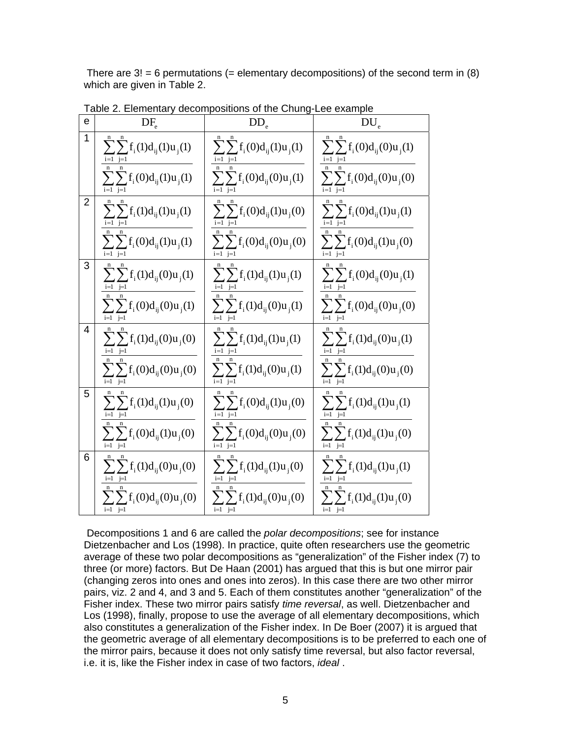There are  $3! = 6$  permutations (= elementary decompositions) of the second term in (8) which are given in Table 2.

| е | $DF_e$                              | $\rm{DD}_e$                        | $DU_e$                                                |
|---|-------------------------------------|------------------------------------|-------------------------------------------------------|
| 1 | $\sum \sum f_i(1) d_{ij}(1) u_j(1)$ | $\sum_{i} f_i(0) d_{ij}(1) u_j(1)$ | $\sum \sum {\rm f_i(0)} {\rm d_{ij}(0)} {\rm u_j(1)}$ |
|   | $\sum_{i} f_i(0) d_{ij}(1) u_j(1)$  | $\sum_{i} f_i(0) d_{ij}(0) u_j(1)$ | $\sum_{i} f_i(0) d_{ij}(0) u_j(0)$                    |
| 2 | $\sum_{i} f_i(1) d_{ij}(1) u_j(1)$  | $\sum_{i} f_i(0) d_{ij}(1) u_j(0)$ | $\sum_{i} f_i(0) d_{ij}(1) u_j(1)$                    |
|   | $\sum_{i} f_i(0) d_{ij}(1) u_j(1)$  | $\sum_{i} f_i(0) d_{ij}(0) u_j(0)$ | $\sum_{i} f_i(0) d_{ij}(1) u_j(0)$                    |
| 3 | $\sum \sum f_i(1)d_{ij}(0)u_j(1)$   | $\sum_{i} f_i(1) d_{ij}(1) u_j(1)$ | $\sum_{i} f_i(0) d_{ij}(0) u_j(1)$                    |
|   | $\sum_{i} f_i(0) d_{ij}(0) u_j(1)$  | $\sum_{i} f_i(1) d_{ij}(0) u_j(1)$ | $\sum_{i} f_i(0) d_{ij}(0) u_j(0)$                    |
| 4 | $\sum \sum f_i(1) d_{ij}(0) u_j(0)$ | $\sum_{i} f_i(1) d_{ij}(1) u_j(1)$ | $\sum_{i} f_i(1) d_{ij}(0) u_j(1)$                    |
|   | $\sum_{i} f_i(0) d_{ij}(0) u_j(0)$  | $\sum_{i} f_i(1) d_{ij}(0) u_j(1)$ | $\sum_{i} f_i(1) d_{ij}(0) u_j(0)$                    |
| 5 | $\sum_{i} f_i(1) d_{ij}(1) u_j(0)$  | $\sum_{i} f_i(0) d_{ij}(1) u_j(0)$ | $\sum_{i} f_i(1) d_{ij}(1) u_j(1)$                    |
|   | $\sum_{i} f_i(0) d_{ij}(1) u_j(0)$  | $\sum_{i} f_i(0) d_{ij}(0) u_j(0)$ | $\sum_{i} f_i(1) d_{ij}(1) u_j(0)$                    |
| 6 | $\sum_{i} f_i(1) d_{ij}(0) u_j(0)$  | $\sum_{i} f_i(1) d_{ij}(1) u_j(0)$ | $\sum_{i} f_i(1) d_{ij}(1) u_j(1)$                    |
|   | $\sum_{i} f_i(0) d_{ij}(0) u_j(0)$  | $\sum_{i} f_i(1) d_{ij}(0) u_j(0)$ | $\sum_{i} f_i(1) d_{ij}(1) u_j(0)$                    |

Table 2. Elementary decompositions of the Chung-Lee example

 Decompositions 1 and 6 are called the *polar decompositions*; see for instance Dietzenbacher and Los (1998). In practice, quite often researchers use the geometric average of these two polar decompositions as "generalization" of the Fisher index (7) to three (or more) factors. But De Haan (2001) has argued that this is but one mirror pair (changing zeros into ones and ones into zeros). In this case there are two other mirror pairs, viz. 2 and 4, and 3 and 5. Each of them constitutes another "generalization" of the Fisher index. These two mirror pairs satisfy *time reversal*, as well. Dietzenbacher and Los (1998), finally, propose to use the average of all elementary decompositions, which also constitutes a generalization of the Fisher index. In De Boer (2007) it is argued that the geometric average of all elementary decompositions is to be preferred to each one of the mirror pairs, because it does not only satisfy time reversal, but also factor reversal, i.e. it is, like the Fisher index in case of two factors, *ideal* .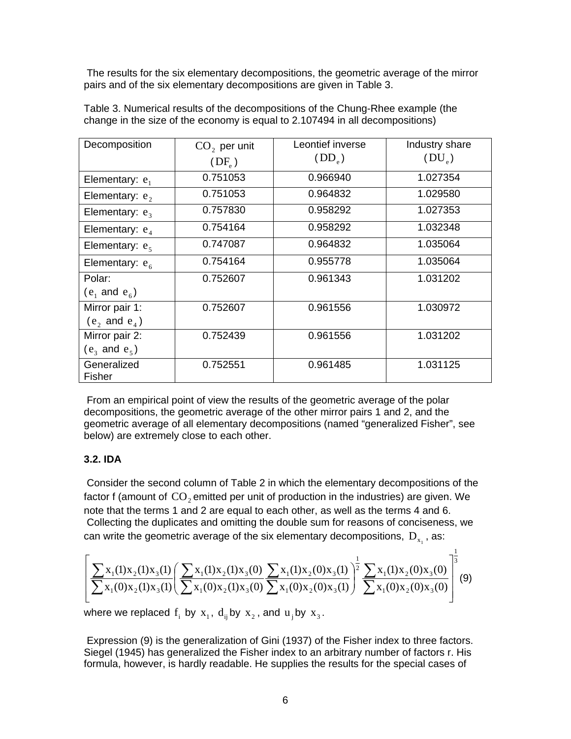The results for the six elementary decompositions, the geometric average of the mirror pairs and of the six elementary decompositions are given in Table 3.

| Decomposition            | $CO2$ per unit<br>$(DF_e)$ | Leontief inverse<br>$(DD_e)$ | Industry share<br>$(DU_{e})$ |
|--------------------------|----------------------------|------------------------------|------------------------------|
| Elementary: $e_1$        | 0.751053                   | 0.966940                     | 1.027354                     |
| Elementary: $e_2$        | 0.751053                   | 0.964832                     | 1.029580                     |
| Elementary: $e_3$        | 0.757830                   | 0.958292                     | 1.027353                     |
| Elementary: $e_4$        | 0.754164                   | 0.958292                     | 1.032348                     |
| Elementary: $e_5$        | 0.747087                   | 0.964832                     | 1.035064                     |
| Elementary: $e_6$        | 0.754164                   | 0.955778                     | 1.035064                     |
| Polar:                   | 0.752607                   | 0.961343                     | 1.031202                     |
| $(e_1$ and $e_6$ )       |                            |                              |                              |
| Mirror pair 1:           | 0.752607                   | 0.961556                     | 1.030972                     |
| $(e_2 \text{ and } e_4)$ |                            |                              |                              |
| Mirror pair 2:           | 0.752439                   | 0.961556                     | 1.031202                     |
| $(e_3 \text{ and } e_5)$ |                            |                              |                              |
| Generalized<br>Fisher    | 0.752551                   | 0.961485                     | 1.031125                     |

Table 3. Numerical results of the decompositions of the Chung-Rhee example (the change in the size of the economy is equal to 2.107494 in all decompositions)

 From an empirical point of view the results of the geometric average of the polar decompositions, the geometric average of the other mirror pairs 1 and 2, and the geometric average of all elementary decompositions (named "generalized Fisher", see below) are extremely close to each other.

## **3.2. IDA**

 Consider the second column of Table 2 in which the elementary decompositions of the factor f (amount of  $\mathbf{CO}_2$  emitted per unit of production in the industries) are given. We note that the terms 1 and 2 are equal to each other, as well as the terms 4 and 6. Collecting the duplicates and omitting the double sum for reasons of conciseness, we can write the geometric average of the six elementary decompositions,  $D_{x}$ , as:

$$
\left[ \frac{\sum x_1(1)x_2(1)x_3(1)}{\sum x_1(0)x_2(1)x_3(1)} \left( \frac{\sum x_1(1)x_2(1)x_3(0)}{\sum x_1(0)x_2(1)x_3(0)} \frac{\sum x_1(1)x_2(0)x_3(1)}{\sum x_1(0)x_2(0)x_3(1)} \right)^{\frac{1}{2}} \frac{\sum x_1(1)x_2(0)x_3(0)}{\sum x_1(0)x_2(0)x_3(0)} \right]^{\frac{1}{3}} (9)
$$

where we replaced  $f_i$  by  $x_1$ ,  $d_{ii}$  by  $x_2$ , and  $u_i$  by  $x_3$ .

 Expression (9) is the generalization of Gini (1937) of the Fisher index to three factors. Siegel (1945) has generalized the Fisher index to an arbitrary number of factors r. His formula, however, is hardly readable. He supplies the results for the special cases of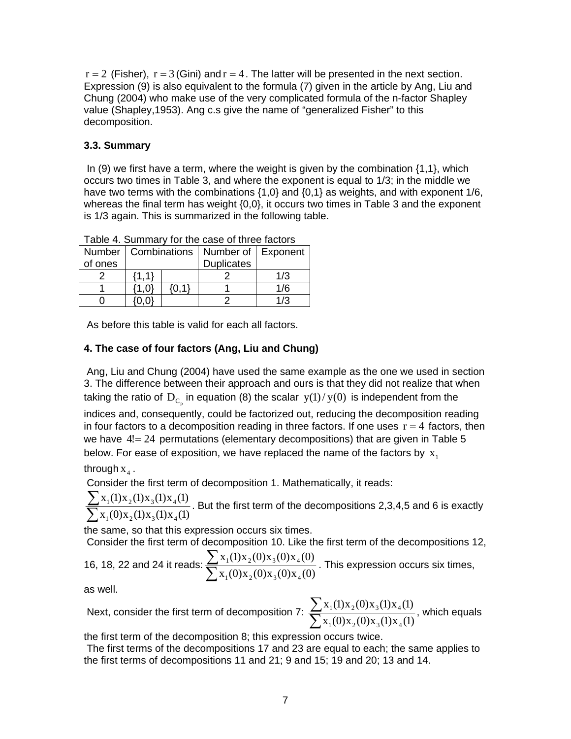$r = 2$  (Fisher),  $r = 3$  (Gini) and  $r = 4$ . The latter will be presented in the next section. Expression (9) is also equivalent to the formula (7) given in the article by Ang, Liu and Chung (2004) who make use of the very complicated formula of the n-factor Shapley value (Shapley,1953). Ang c.s give the name of "generalized Fisher" to this decomposition.

# **3.3. Summary**

In  $(9)$  we first have a term, where the weight is given by the combination  $\{1,1\}$ , which occurs two times in Table 3, and where the exponent is equal to 1/3; in the middle we have two terms with the combinations  $\{1,0\}$  and  $\{0,1\}$  as weights, and with exponent 1/6, whereas the final term has weight {0,0}, it occurs two times in Table 3 and the exponent is 1/3 again. This is summarized in the following table.

| Table 4. Odiffindly for the case of three factors |       |  |                                              |     |  |  |  |  |  |  |
|---------------------------------------------------|-------|--|----------------------------------------------|-----|--|--|--|--|--|--|
|                                                   |       |  | Number   Combinations   Number of   Exponent |     |  |  |  |  |  |  |
| of ones                                           |       |  | <b>Duplicates</b>                            |     |  |  |  |  |  |  |
|                                                   | (1 1) |  |                                              | 1/3 |  |  |  |  |  |  |
|                                                   |       |  |                                              | 1/6 |  |  |  |  |  |  |
|                                                   |       |  |                                              | 1/3 |  |  |  |  |  |  |

Table 4. Summary for the case of three factors

As before this table is valid for each all factors.

# **4. The case of four factors (Ang, Liu and Chung)**

 Ang, Liu and Chung (2004) have used the same example as the one we used in section 3. The difference between their approach and ours is that they did not realize that when taking the ratio of  $D_{C_n}$  in equation (8) the scalar  $y(1)/y(0)$  is independent from the

indices and, consequently, could be factorized out, reducing the decomposition reading in four factors to a decomposition reading in three factors. If one uses  $r = 4$  factors, then we have 4!= 24 permutations (elementary decompositions) that are given in Table 5 below. For ease of exposition, we have replaced the name of the factors by  $x_1$ 

through  $x_4$ .

Consider the first term of decomposition 1. Mathematically, it reads:

∑ ∑  $x_1(0)x_2(1)x_3(1)x_4(1)$  $x_1(1)x_2(1)x_3(1)x_4(1)$  $1^{(0)}$  $^{2(1)}$  $^{3(1)}$  $^{4}$  $\frac{1}{1}$ <sup>(1) $\frac{\lambda_2(1)}{\lambda_3(1)}$ ,  $\frac{\lambda_4(1)}{\lambda_4(1)}$ . But the first term of the decompositions 2,3,4,5 and 6 is exactly</sup>

the same, so that this expression occurs six times.

Consider the first term of decomposition 10. Like the first term of the decompositions 12,

16, 18, 22 and 24 it reads: 
$$
\frac{\sum x_1(1)x_2(0)x_3(0)x_4(0)}{\sum x_1(0)x_2(0)x_3(0)x_4(0)}
$$
. This expression occurs six times,

as well.

Next, consider the first term of decomposition 7:  $\frac{2}{\sum}$ ∑  $x_1(0)x_2(0)x_3(1)x_4(1)$  $x_1(1)x_2(0)x_3(1)x_4(1)$  $1^{(0)}$  $^{2^{(0)}$  $^{3^{(1)}$  $^{4}}$  $\frac{1}{100}$   $\frac{(1)}{20}$   $\frac{(2)}{20}$   $\frac{(3)}{20}$   $\frac{(1)}{20}$  which equals

the first term of the decomposition 8; this expression occurs twice.

 The first terms of the decompositions 17 and 23 are equal to each; the same applies to the first terms of decompositions 11 and 21; 9 and 15; 19 and 20; 13 and 14.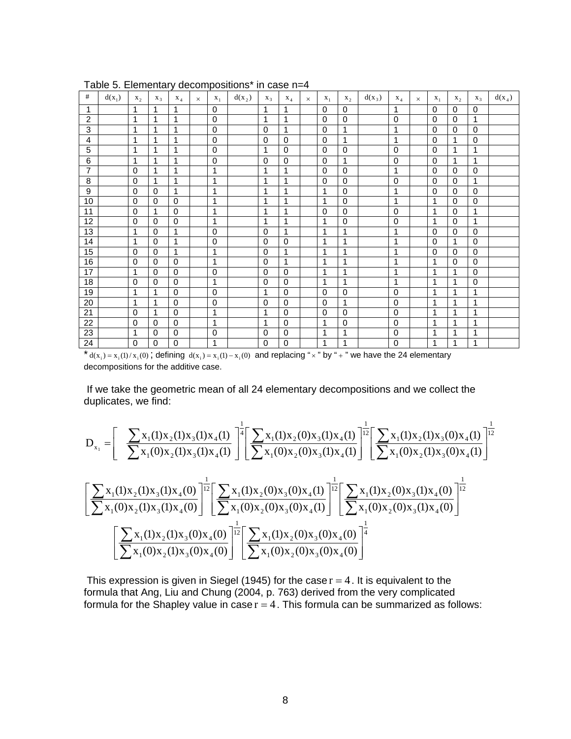| #              | $d(x_1)$ | X <sub>2</sub> | $X_3$        | $X_4$            | $\times$ | $X_1$        | $d(x_2)$ | $X_3$        | $X_4$       |          | $X_1$       | X <sub>2</sub> | $d(x_3)$ | $X_4$        |          | $X_1$        | X <sub>2</sub> | $X_3$       | $d(x_4)$ |
|----------------|----------|----------------|--------------|------------------|----------|--------------|----------|--------------|-------------|----------|-------------|----------------|----------|--------------|----------|--------------|----------------|-------------|----------|
|                |          |                |              |                  |          |              |          |              |             | $\times$ |             |                |          |              | $\times$ |              |                |             |          |
| $\mathbf{1}$   |          | 1              | 1            | 1                |          | $\Omega$     |          | 1            | 1           |          | $\Omega$    | $\Omega$       |          | 1            |          | $\Omega$     | $\mathbf 0$    | 0           |          |
| $\overline{2}$ |          | 1              | 1            | $\overline{1}$   |          | $\mathbf 0$  |          | $\mathbf{1}$ | 1           |          | $\Omega$    | $\Omega$       |          | $\mathbf 0$  |          | $\mathbf 0$  | $\mathbf 0$    | 1           |          |
| 3              |          | 1              | 1            | $\mathbf{1}$     |          | 0            |          | $\Omega$     | 1           |          | $\Omega$    | 1              |          | 1            |          | $\Omega$     | $\mathbf 0$    | $\mathbf 0$ |          |
| 4              |          | 1              | 1            | $\mathbf{1}$     |          | 0            |          | $\mathbf 0$  | $\Omega$    |          | $\Omega$    | 1              |          | 1            |          | $\Omega$     | 1              | $\mathbf 0$ |          |
| 5              |          | 1              | 1            | $\mathbf{1}$     |          | 0            |          | 1            | $\Omega$    |          | 0           | 0              |          | 0            |          | 0            | 1              | 1           |          |
| 6              |          | 1              | 1            | $\overline{1}$   |          | $\mathbf 0$  |          | $\Omega$     | $\Omega$    |          | $\Omega$    | 1              |          | $\mathbf 0$  |          | $\Omega$     | 1              | 1           |          |
| $\overline{7}$ |          | $\mathbf{0}$   | 1            | $\mathbf{1}$     |          | 1            |          | 1            | 1           |          | $\Omega$    | $\Omega$       |          | 1            |          | $\Omega$     | $\Omega$       | 0           |          |
| 8              |          | $\Omega$       | 1            | $\mathbf{1}$     |          | 1            |          | 1            | 1           |          | $\Omega$    | $\Omega$       |          | $\mathbf 0$  |          | $\Omega$     | $\Omega$       | 1           |          |
| 9              |          | $\mathbf 0$    | $\mathbf 0$  | $\overline{1}$   |          | 1            |          | 1            | 1           |          | 1           | 0              |          | 1            |          | $\mathbf 0$  | 0              | $\mathbf 0$ |          |
| 10             |          | $\mathbf 0$    | $\Omega$     | $\mathbf 0$      |          | 1            |          | 1            | 1           |          | 1           | 0              |          | $\mathbf{1}$ |          | $\mathbf{1}$ | 0              | $\mathbf 0$ |          |
| 11             |          | 0              | 1            | $\mathbf 0$      |          | 1            |          | 1            | 1           |          | $\Omega$    | $\mathbf 0$    |          | $\mathbf 0$  |          | 1            | 0              | 1           |          |
| 12             |          | $\mathbf 0$    | $\Omega$     | $\mathbf 0$      |          | 1            |          | 1            | 1           |          | 1           | 0              |          | $\mathbf 0$  |          | $\mathbf 1$  | 0              | 1           |          |
| 13             |          | 1              | $\Omega$     | $\overline{1}$   |          | $\mathbf 0$  |          | $\Omega$     | 1           |          | 1           | 1              |          | 1            |          | $\mathbf 0$  | $\mathbf 0$    | $\mathbf 0$ |          |
| 14             |          | 1              | $\Omega$     | $\overline{1}$   |          | $\mathbf 0$  |          | $\Omega$     | $\Omega$    |          | 1           | 1              |          | 1            |          | $\Omega$     | 1              | $\Omega$    |          |
| 15             |          | $\mathbf 0$    | $\Omega$     | $\overline{1}$   |          | $\mathbf{1}$ |          | $\Omega$     | 1           |          | 1           | 1              |          | 1            |          | $\mathbf 0$  | $\mathbf 0$    | $\Omega$    |          |
| 16             |          | $\mathbf 0$    | $\Omega$     | $\Omega$         |          | 1            |          | $\Omega$     | 1           |          | 1           | 1              |          | 1            |          | 1            | $\mathbf 0$    | $\mathbf 0$ |          |
| 17             |          | 1              | $\Omega$     | $\Omega$         |          | 0            |          | $\Omega$     | $\Omega$    |          | 1           | 1              |          | 1            |          | 1            | 1              | $\Omega$    |          |
| 18             |          | $\mathbf{0}$   | $\Omega$     | $\mathbf{0}$     |          | 1            |          | $\Omega$     | $\Omega$    |          | 1           | 1              |          | 1            |          | 1            | 1              | $\Omega$    |          |
| 19             |          | 1              | $\mathbf{1}$ | $\mathbf 0$      |          | $\mathbf 0$  |          | 1            | $\Omega$    |          | $\Omega$    | 0              |          | $\mathbf 0$  |          | 1            | 1              | 1           |          |
| 20             |          | 1              | 1            | $\mathbf 0$      |          | 0            |          | $\mathbf 0$  | $\Omega$    |          | $\Omega$    | 1              |          | 0            |          | 1            | 1              | 1           |          |
| 21             |          | $\mathbf 0$    | 1            | $\mathbf 0$      |          | 1            |          | 1            | $\mathbf 0$ |          | $\mathbf 0$ | 0              |          | $\mathbf 0$  |          | 1            | 1              | 1           |          |
| 22             |          | 0              | 0            | $\mathbf 0$      |          | 1            |          | 1            | $\mathbf 0$ |          | 1           | $\mathbf 0$    |          | $\mathbf 0$  |          | 1            | 1              | 1           |          |
|                |          | 1              | $\Omega$     | $\mathbf 0$      |          |              |          | $\Omega$     |             |          | 1           | 1              |          |              |          | 1            | 1              |             |          |
| 23             |          |                |              |                  |          | 0            |          |              | 0           |          |             |                |          | $\mathbf 0$  |          |              |                | 1           |          |
| 24             |          | 0              | 0            | $\boldsymbol{0}$ |          | 1            |          | 0            | 0           |          | 1           | 1              |          | $\pmb{0}$    |          | 1            | 1              | 1           |          |

Table 5. Elementary decompositions\* in case n=4

 $* d(x_i) = x_i(1)/x_i(0)$ ; defining  $d(x_i) = x_i(1) - x_i(0)$  and replacing " $\times$ " by " + " we have the 24 elementary decompositions for the additive case.

 If we take the geometric mean of all 24 elementary decompositions and we collect the duplicates, we find:

$$
D_{x_1} = \left[ \frac{\sum x_1(1)x_2(1)x_3(1)x_4(1)}{\sum x_1(0)x_2(1)x_3(1)x_4(1)} \right]^{\frac{1}{4}} \left[ \frac{\sum x_1(1)x_2(0)x_3(1)x_4(1)}{\sum x_1(0)x_2(0)x_3(1)x_4(1)} \right]^{\frac{1}{12}} \left[ \frac{\sum x_1(1)x_2(1)x_3(0)x_4(1)}{\sum x_1(0)x_2(1)x_3(0)x_4(1)} \right]^{\frac{1}{12}} \left[ \frac{\sum x_1(1)x_2(1)x_3(1)x_4(0)}{\sum x_1(0)x_2(1)x_3(1)x_4(0)} \right]^{\frac{1}{12}} \left[ \frac{\sum x_1(1)x_2(0)x_3(0)x_4(1)}{\sum x_1(0)x_2(0)x_3(0)x_4(1)} \right]^{\frac{1}{12}} \left[ \frac{\sum x_1(1)x_2(0)x_3(1)x_4(0)}{\sum x_1(0)x_2(0)x_3(0)x_4(1)} \right]^{\frac{1}{12}} \left[ \frac{\sum x_1(1)x_2(0)x_3(0)x_4(0)}{\sum x_1(0)x_2(0)x_3(0)x_4(0)} \right]^{\frac{1}{12}} \left[ \frac{\sum x_1(1)x_2(0)x_3(0)x_4(0)}{\sum x_1(0)x_2(1)x_3(0)x_4(0)} \right]^{\frac{1}{12}} \left[ \frac{\sum x_1(1)x_2(0)x_3(0)x_4(0)}{\sum x_1(0)x_2(0)x_3(0)x_4(0)} \right]^{\frac{1}{12}} \left[ \frac{\sum x_1(1)x_2(0)x_3(0)x_4(0)}{\sum x_1(0)x_2(0)x_3(0)x_4(0)} \right]^{\frac{1}{12}} \left[ \frac{\sum x_1(1)x_2(0)x_3(0)x_4(0)}{\sum x_1(0)x_2(0)x_3(0)x_4(0)} \right]^{\frac{1}{12}} \left[ \frac{\sum x_1(1)x_2(0)x_3(0)x_4(0)}{\sum x_1(0)x_2(0)x_3(0)} \right]^{\frac{1}{12}} \left[ \frac{\sum x_1(1)x_
$$

This expression is given in Siegel (1945) for the case  $r = 4$ . It is equivalent to the formula that Ang, Liu and Chung (2004, p. 763) derived from the very complicated formula for the Shapley value in case  $r = 4$ . This formula can be summarized as follows: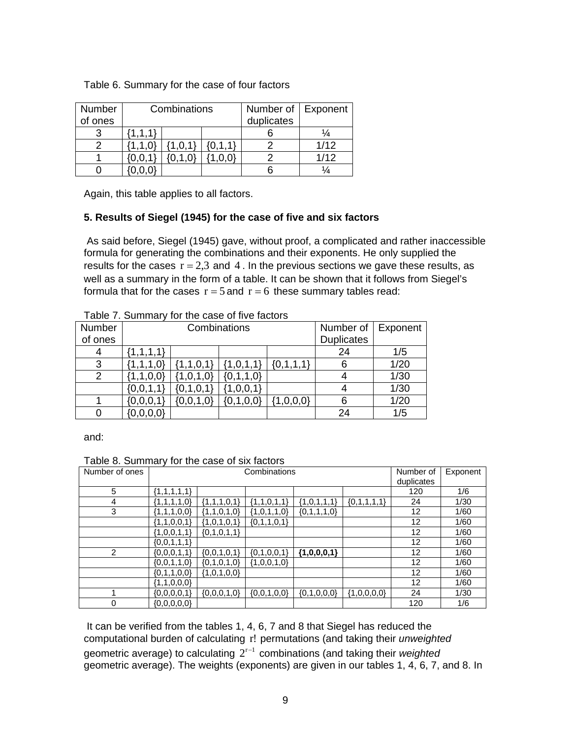| Number<br>of ones |             | Combinations |         | Number of<br>duplicates | Exponent |
|-------------------|-------------|--------------|---------|-------------------------|----------|
|                   | $\{1,1,1\}$ |              |         |                         |          |
|                   |             |              | [0.1.1] |                         | 1/12     |
|                   |             |              |         |                         | 1/12     |
|                   |             |              |         |                         |          |

Table 6. Summary for the case of four factors

Again, this table applies to all factors.

### **5. Results of Siegel (1945) for the case of five and six factors**

 As said before, Siegel (1945) gave, without proof, a complicated and rather inaccessible formula for generating the combinations and their exponents. He only supplied the results for the cases  $r = 2.3$  and 4. In the previous sections we gave these results, as well as a summary in the form of a table. It can be shown that it follows from Siegel's formula that for the cases  $r = 5$  and  $r = 6$  these summary tables read:

| טושאטו שזוויט ששט טווו וטו |                  |                  |               |             |                   |      |  |  |  |  |  |
|----------------------------|------------------|------------------|---------------|-------------|-------------------|------|--|--|--|--|--|
| Number                     |                  | Combinations     | Number of     | Exponent    |                   |      |  |  |  |  |  |
| of ones                    |                  |                  |               |             | <b>Duplicates</b> |      |  |  |  |  |  |
| 4                          | $\{1, 1, 1, 1\}$ |                  | 24            | 1/5         |                   |      |  |  |  |  |  |
| 3                          |                  | $\{1, 1, 0, 1\}$ | $\{1,0,1,1\}$ | ${0,1,1,1}$ |                   | 1/20 |  |  |  |  |  |
| 2                          | 1,1,0,0          | ,0,1,0           |               | 1/30        |                   |      |  |  |  |  |  |
|                            | ${0,0,1}$        | $\{0,1,0,1\}$    | $\{1,0,0,1\}$ |             |                   | 1/30 |  |  |  |  |  |
|                            | ${0,0,0,1}$      | ${0,0,1,0}$      | ${0,1,0,0}$   | 1,0,0,0     |                   | 1/20 |  |  |  |  |  |
|                            | $\{0,0,0,0\}$    |                  |               |             | 24                | 1/5  |  |  |  |  |  |

Table 7. Summary for the case of five factors

and:

### Table 8. Summary for the case of six factors

| Number of ones |                     | Combinations    | Number of     | Exponent      |               |                   |      |
|----------------|---------------------|-----------------|---------------|---------------|---------------|-------------------|------|
|                |                     |                 | duplicates    |               |               |                   |      |
| 5              | $\{1,1,1,1,1\}$     |                 |               |               |               | 120               | 1/6  |
| 4              | $\{1,1,1,1,0\}$     | $\{1,1,1,0,1\}$ | ${1,1,0,1,1}$ | ${1,0,1,1,1}$ | ${0,1,1,1,1}$ | 24                | 1/30 |
| 3              | ${1,1,1,0,0}$       | ${1,1,0,1,0}$   | ${1,0,1,1,0}$ | ${0,1,1,1,0}$ |               | 12                | 1/60 |
|                | $\{1, 1, 0, 0, 1\}$ | ${1,0,1,0,1}$   | ${0,1,1,0,1}$ |               |               | $12 \overline{ }$ | 1/60 |
|                | ${1,0,0,1,1}$       | ${0,1,0,1,1}$   |               |               |               | 12                | 1/60 |
|                | ${0,0,1,1,1}$       |                 |               |               |               | 12                | 1/60 |
| 2              | ${0,0,0,1,1}$       | $\{0,0,1,0,1\}$ | ${0,1,0,0,1}$ | ${1,0,0,0,1}$ |               | 12                | 1/60 |
|                | ${0,0,1,1,0}$       | ${0,1,0,1,0}$   | ${1,0,0,1,0}$ |               |               | 12                | 1/60 |
|                | ${0,1,1,0,0}$       | $\{1,0,1,0,0\}$ |               |               |               | 12                | 1/60 |
|                | ${1,1,0,0,0}$       |                 |               |               |               | 12                | 1/60 |
| 1              | $\{0,0,0,0,1\}$     | ${0,0,0,1,0}$   | ${0,0,1,0,0}$ | ${0,1,0,0,0}$ | ${1,0,0,0,0}$ | 24                | 1/30 |
| 0              | ${0,0,0,0}$         |                 |               |               |               | 120               | 1/6  |

 It can be verified from the tables 1, 4, 6, 7 and 8 that Siegel has reduced the computational burden of calculating r! permutations (and taking their *unweighted* geometric average) to calculating  $2^{r-1}$  combinations (and taking their *weighted* geometric average). The weights (exponents) are given in our tables 1, 4, 6, 7, and 8. In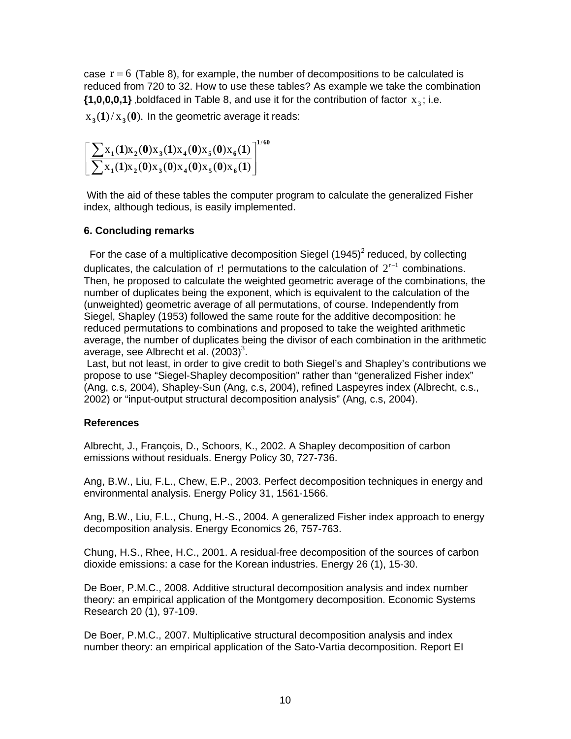case  $r = 6$  (Table 8), for example, the number of decompositions to be calculated is reduced from 720 to 32. How to use these tables? As example we take the combination  $\{1,0,0,0,1\}$  boldfaced in Table 8, and use it for the contribution of factor  $x_0$ ; i.e.

 $x_3(1)/x_3(0)$ . In the geometric average it reads:

$$
\left[\frac{\sum x_1(1)x_2(0)x_3(1)x_4(0)x_5(0)x_6(1)}{\sum x_1(1)x_2(0)x_3(0)x_4(0)x_5(0)x_6(1)}\right]^{1/60}
$$

 With the aid of these tables the computer program to calculate the generalized Fisher index, although tedious, is easily implemented.

## **6. Concluding remarks**

For the case of a multiplicative decomposition Siegel  $(1945)^2$  reduced, by collecting duplicates, the calculation of r! permutations to the calculation of  $2^{r-1}$  combinations. Then, he proposed to calculate the weighted geometric average of the combinations, the number of duplicates being the exponent, which is equivalent to the calculation of the (unweighted) geometric average of all permutations, of course. Independently from Siegel, Shapley (1953) followed the same route for the additive decomposition: he reduced permutations to combinations and proposed to take the weighted arithmetic average, the number of duplicates being the divisor of each combination in the arithmetic average, see Albrecht et al.  $(2003)^3$ .

 Last, but not least, in order to give credit to both Siegel's and Shapley's contributions we propose to use "Siegel-Shapley decomposition" rather than "generalized Fisher index" (Ang, c.s, 2004), Shapley-Sun (Ang, c.s, 2004), refined Laspeyres index (Albrecht, c.s., 2002) or "input-output structural decomposition analysis" (Ang, c.s, 2004).

## **References**

Albrecht, J., François, D., Schoors, K., 2002. A Shapley decomposition of carbon emissions without residuals. Energy Policy 30, 727-736.

Ang, B.W., Liu, F.L., Chew, E.P., 2003. Perfect decomposition techniques in energy and environmental analysis. Energy Policy 31, 1561-1566.

Ang, B.W., Liu, F.L., Chung, H.-S., 2004. A generalized Fisher index approach to energy decomposition analysis. Energy Economics 26, 757-763.

Chung, H.S., Rhee, H.C., 2001. A residual-free decomposition of the sources of carbon dioxide emissions: a case for the Korean industries. Energy 26 (1), 15-30.

De Boer, P.M.C., 2008. Additive structural decomposition analysis and index number theory: an empirical application of the Montgomery decomposition. Economic Systems Research 20 (1), 97-109.

De Boer, P.M.C., 2007. Multiplicative structural decomposition analysis and index number theory: an empirical application of the Sato-Vartia decomposition. Report EI